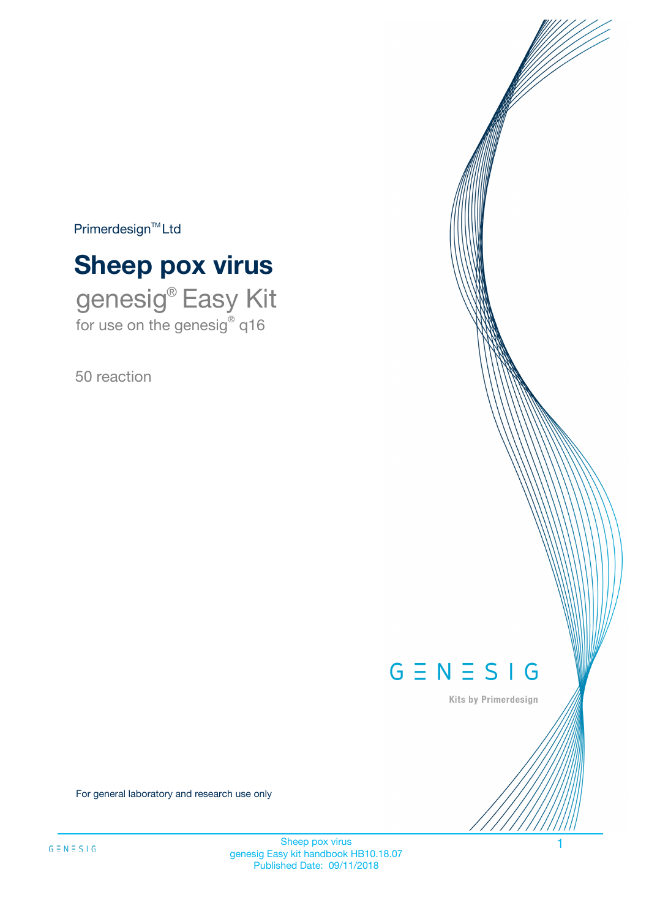$Primerdesign^{\text{TM}}Ltd$ 

# **Sheep pox virus**

genesig® Easy Kit for use on the genesig® q16

50 reaction



Kits by Primerdesign

For general laboratory and research use only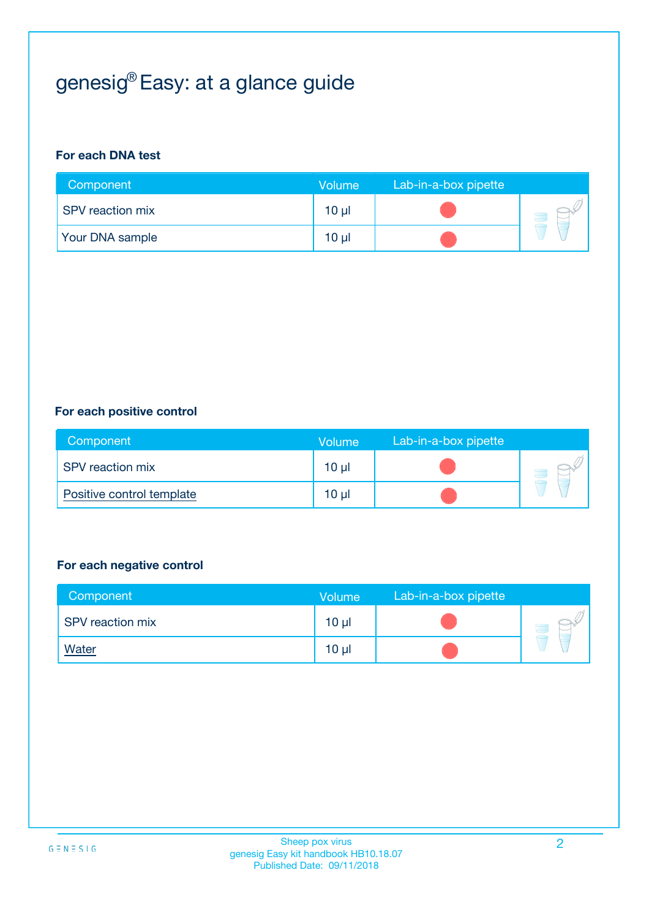# genesig® Easy: at a glance guide

#### **For each DNA test**

| Component               | <b>Volume</b> | Lab-in-a-box pipette |  |
|-------------------------|---------------|----------------------|--|
| <b>SPV</b> reaction mix | $10 \mu$      |                      |  |
| <b>Your DNA sample</b>  | $10 \mu$      |                      |  |

#### **For each positive control**

| Component                 | <b>Volume</b>   | Lab-in-a-box pipette |  |
|---------------------------|-----------------|----------------------|--|
| <b>SPV</b> reaction mix   | 10 <sub>µ</sub> |                      |  |
| Positive control template | $10 \mu$        |                      |  |

#### **For each negative control**

| Component               | <b>Volume</b>   | Lab-in-a-box pipette |  |
|-------------------------|-----------------|----------------------|--|
| <b>SPV</b> reaction mix | 10 <sub>µ</sub> |                      |  |
| <u>Water</u>            | 10 <sub>µ</sub> |                      |  |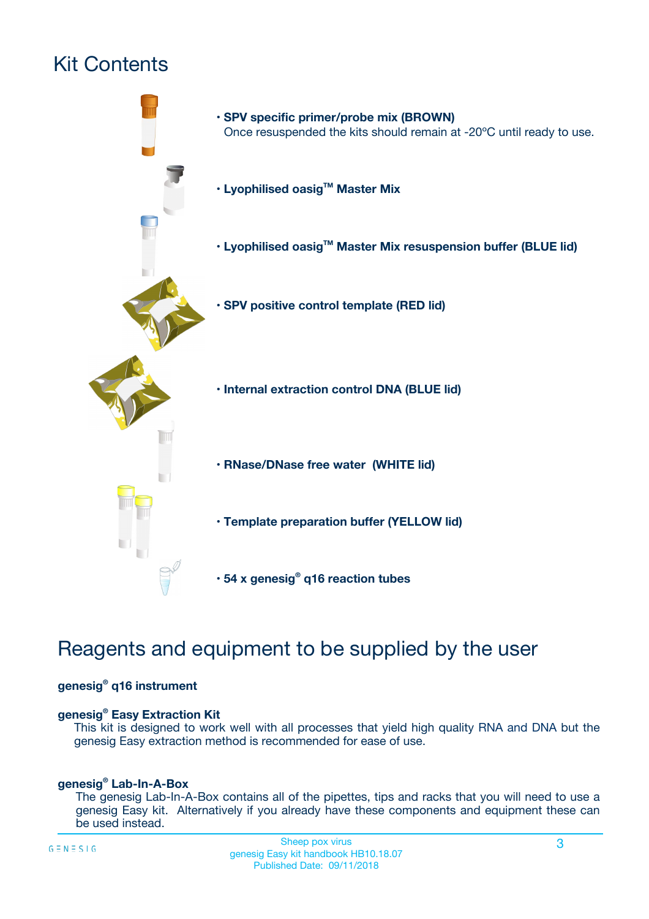# Kit Contents



## Reagents and equipment to be supplied by the user

#### **genesig® q16 instrument**

#### **genesig® Easy Extraction Kit**

This kit is designed to work well with all processes that yield high quality RNA and DNA but the genesig Easy extraction method is recommended for ease of use.

#### **genesig® Lab-In-A-Box**

The genesig Lab-In-A-Box contains all of the pipettes, tips and racks that you will need to use a genesig Easy kit. Alternatively if you already have these components and equipment these can be used instead.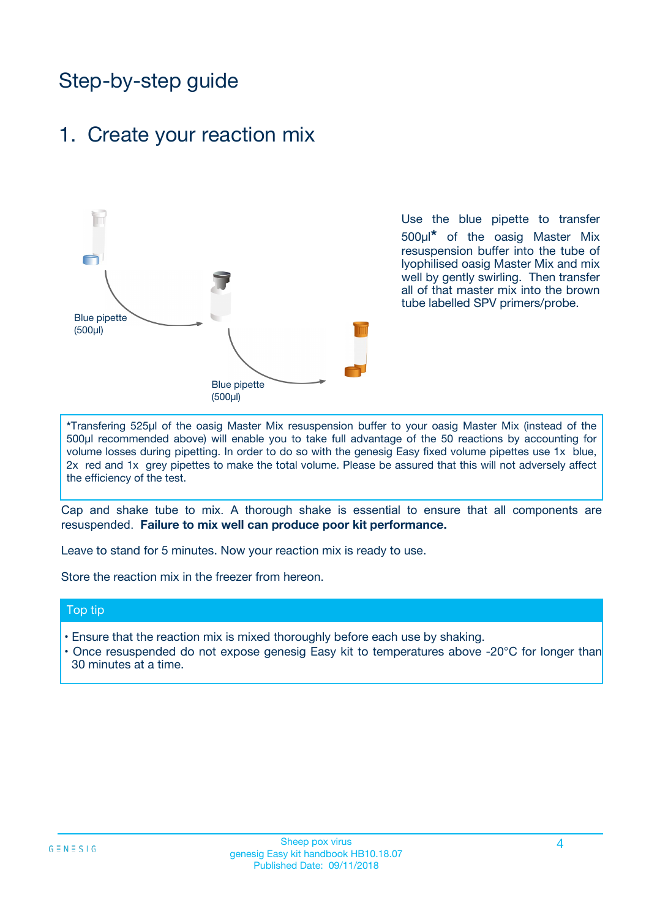## Step-by-step guide

### 1. Create your reaction mix



Use the blue pipette to transfer 500µl**\*** of the oasig Master Mix resuspension buffer into the tube of lyophilised oasig Master Mix and mix well by gently swirling. Then transfer all of that master mix into the brown tube labelled SPV primers/probe.

**\***Transfering 525µl of the oasig Master Mix resuspension buffer to your oasig Master Mix (instead of the 500µl recommended above) will enable you to take full advantage of the 50 reactions by accounting for volume losses during pipetting. In order to do so with the genesig Easy fixed volume pipettes use 1x blue, 2x red and 1x grey pipettes to make the total volume. Please be assured that this will not adversely affect the efficiency of the test.

Cap and shake tube to mix. A thorough shake is essential to ensure that all components are resuspended. **Failure to mix well can produce poor kit performance.**

Leave to stand for 5 minutes. Now your reaction mix is ready to use.

Store the reaction mix in the freezer from hereon.

#### Top tip

- Ensure that the reaction mix is mixed thoroughly before each use by shaking.
- **•** Once resuspended do not expose genesig Easy kit to temperatures above -20°C for longer than 30 minutes at a time.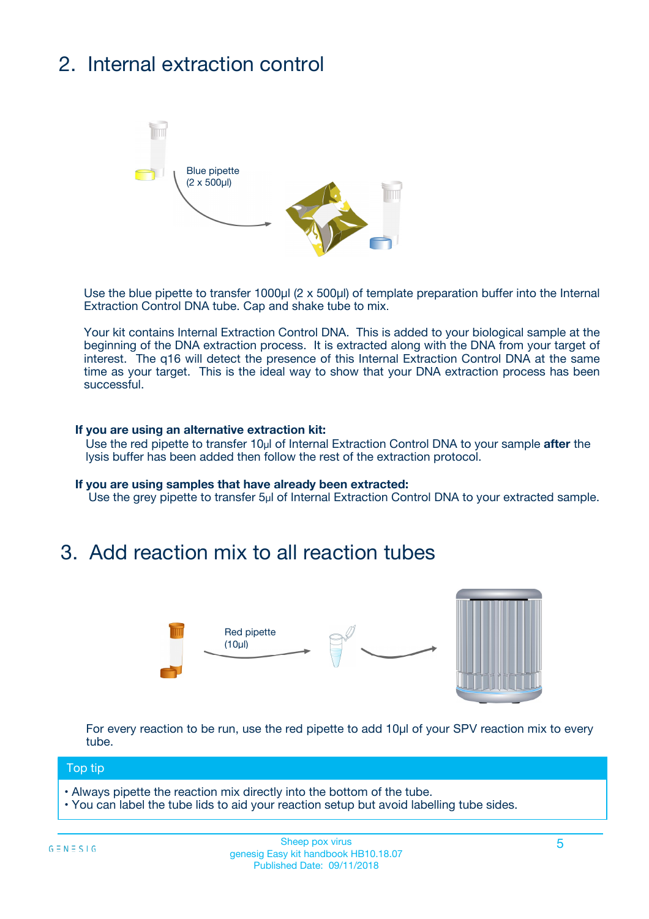# 2. Internal extraction control



Use the blue pipette to transfer 1000µl (2 x 500µl) of template preparation buffer into the Internal Extraction Control DNA tube. Cap and shake tube to mix.

Your kit contains Internal Extraction Control DNA. This is added to your biological sample at the beginning of the DNA extraction process. It is extracted along with the DNA from your target of interest. The q16 will detect the presence of this Internal Extraction Control DNA at the same time as your target. This is the ideal way to show that your DNA extraction process has been successful.

#### **If you are using an alternative extraction kit:**

Use the red pipette to transfer 10µl of Internal Extraction Control DNA to your sample **after** the lysis buffer has been added then follow the rest of the extraction protocol.

#### **If you are using samples that have already been extracted:**

Use the grey pipette to transfer 5µl of Internal Extraction Control DNA to your extracted sample.

### 3. Add reaction mix to all reaction tubes



For every reaction to be run, use the red pipette to add 10µl of your SPV reaction mix to every tube.

#### Top tip

- Always pipette the reaction mix directly into the bottom of the tube.
- You can label the tube lids to aid your reaction setup but avoid labelling tube sides.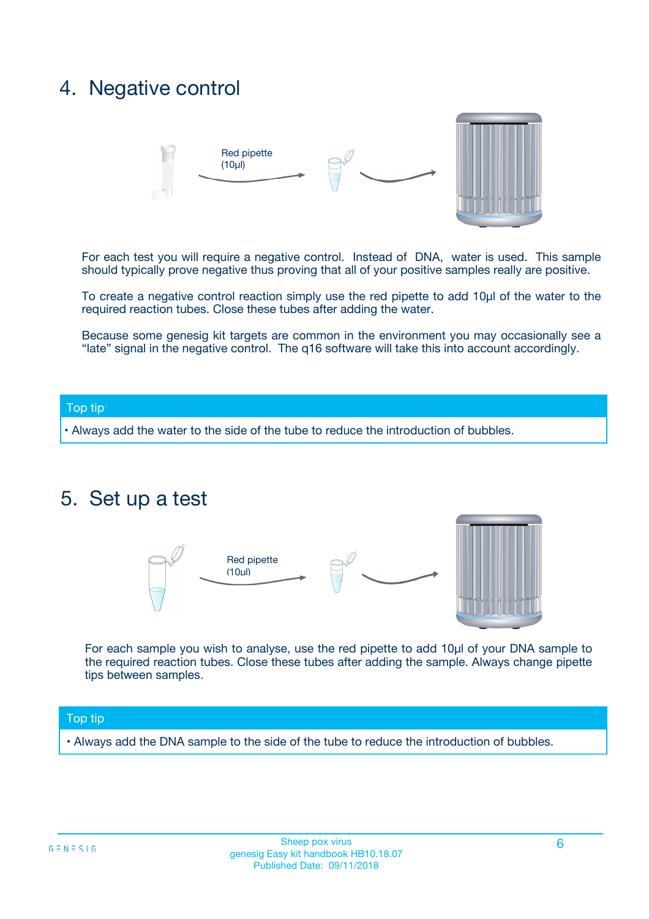## 4. Negative control



For each test you will require a negative control. Instead of DNA, water is used. This sample should typically prove negative thus proving that all of your positive samples really are positive.

To create a negative control reaction simply use the red pipette to add 10µl of the water to the required reaction tubes. Close these tubes after adding the water.

Because some genesig kit targets are common in the environment you may occasionally see a "late" signal in the negative control. The q16 software will take this into account accordingly.

#### Top tip

**•** Always add the water to the side of the tube to reduce the introduction of bubbles.

### 5. Set up a test



For each sample you wish to analyse, use the red pipette to add 10µl of your DNA sample to the required reaction tubes. Close these tubes after adding the sample. Always change pipette tips between samples.

#### Top tip

**•** Always add the DNA sample to the side of the tube to reduce the introduction of bubbles.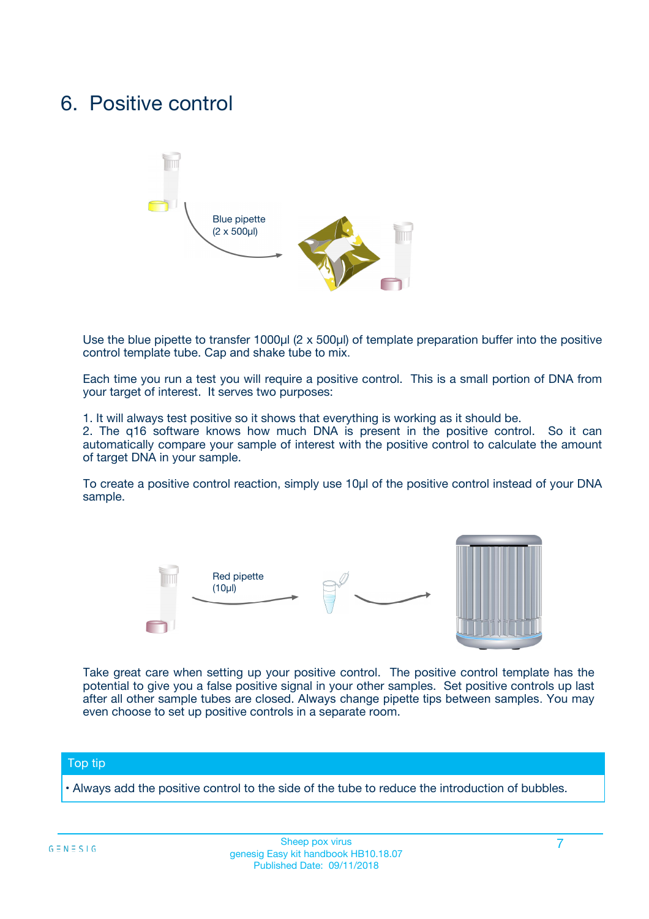### 6. Positive control



Use the blue pipette to transfer 1000µl (2 x 500µl) of template preparation buffer into the positive control template tube. Cap and shake tube to mix.

Each time you run a test you will require a positive control. This is a small portion of DNA from your target of interest. It serves two purposes:

1. It will always test positive so it shows that everything is working as it should be.

2. The q16 software knows how much DNA is present in the positive control. So it can automatically compare your sample of interest with the positive control to calculate the amount of target DNA in your sample.

To create a positive control reaction, simply use 10µl of the positive control instead of your DNA sample.



Take great care when setting up your positive control. The positive control template has the potential to give you a false positive signal in your other samples. Set positive controls up last after all other sample tubes are closed. Always change pipette tips between samples. You may even choose to set up positive controls in a separate room.

#### Top tip

**•** Always add the positive control to the side of the tube to reduce the introduction of bubbles.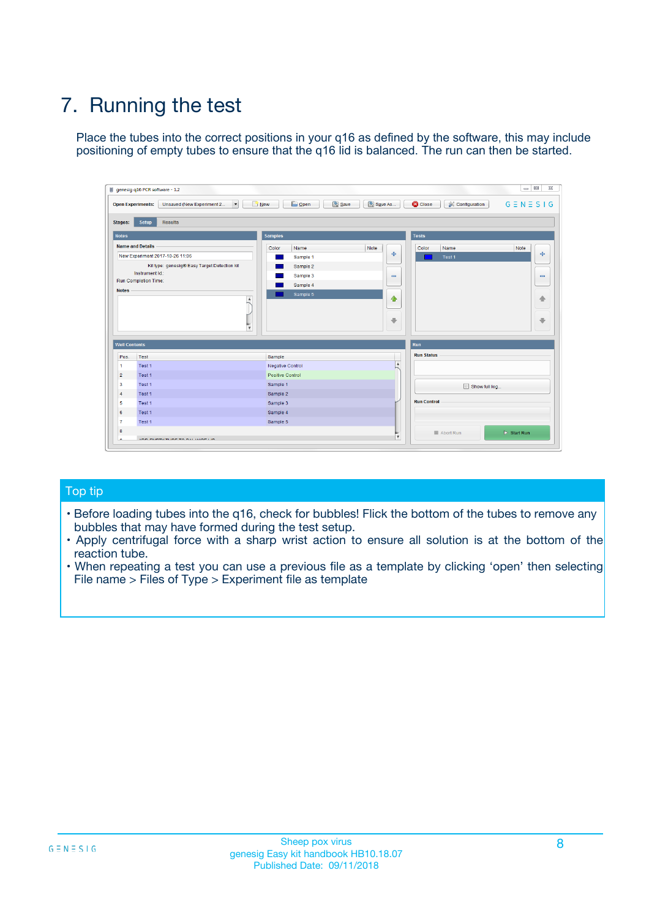# 7. Running the test

Place the tubes into the correct positions in your q16 as defined by the software, this may include positioning of empty tubes to ensure that the q16 lid is balanced. The run can then be started.

|                                   | genesig q16 PCR software - 1.2                        |                                           |                              | $\Box$<br>$\Sigma\!3$                                      |
|-----------------------------------|-------------------------------------------------------|-------------------------------------------|------------------------------|------------------------------------------------------------|
| <b>Open Experiments:</b>          | $\overline{\phantom{a}}$<br>Unsaved (New Experiment 2 | <b>D</b> Open<br>Save<br>R <sub>New</sub> | Save As<br><b>C</b> Close    | $G \equiv N \equiv S \mid G$<br><b>&amp; Configuration</b> |
| <b>Setup</b><br>Stages:           | <b>Results</b>                                        |                                           |                              |                                                            |
| <b>Notes</b>                      |                                                       | <b>Samples</b>                            | <b>Tests</b>                 |                                                            |
| <b>Name and Details</b>           |                                                       | Color<br>Name                             | Note<br>Color                | Note<br>Name                                               |
|                                   | New Experiment 2017-10-26 11:06                       | Sample 1                                  | ع                            | $\oplus$<br>Test 1                                         |
|                                   | Kit type: genesig® Easy Target Detection kit          | Sample 2                                  |                              |                                                            |
|                                   | Instrument Id.:                                       | Sample 3                                  | $\qquad \qquad \blacksquare$ | $\qquad \qquad \blacksquare$                               |
| <b>Run Completion Time:</b>       |                                                       | Sample 4                                  |                              |                                                            |
| <b>Notes</b>                      | <b>A</b><br>$\overline{\mathbf{v}}$                   | Sample 5                                  | ♦<br>$\oplus$                | 48<br>₩                                                    |
| <b>Well Contents</b>              |                                                       |                                           | <b>Run</b>                   |                                                            |
| Pos.<br>Test                      |                                                       | Sample                                    | <b>Run Status</b>            |                                                            |
| $\mathbf{1}$<br>Test 1            |                                                       | Negative Control                          | $\blacktriangle$             |                                                            |
| $\overline{2}$<br>Test 1          |                                                       | Positive Control                          |                              |                                                            |
| $\overline{\mathbf{3}}$<br>Test 1 |                                                       | Sample 1                                  |                              | Show full log                                              |
| Test 1<br>4                       |                                                       | Sample 2                                  |                              |                                                            |
| 5<br>Test 1                       |                                                       | Sample 3                                  | <b>Run Control</b>           |                                                            |
| Test 1<br>6                       |                                                       | Sample 4                                  |                              |                                                            |
| Test 1<br>$\overline{7}$          |                                                       | Sample 5                                  |                              |                                                            |
|                                   |                                                       |                                           |                              |                                                            |
| 8                                 |                                                       |                                           | $\boldsymbol{\mathrm{v}}$    | $\triangleright$ Start Run<br>Abort Run                    |

#### Top tip

- Before loading tubes into the q16, check for bubbles! Flick the bottom of the tubes to remove any bubbles that may have formed during the test setup.
- Apply centrifugal force with a sharp wrist action to ensure all solution is at the bottom of the reaction tube.
- When repeating a test you can use a previous file as a template by clicking 'open' then selecting File name > Files of Type > Experiment file as template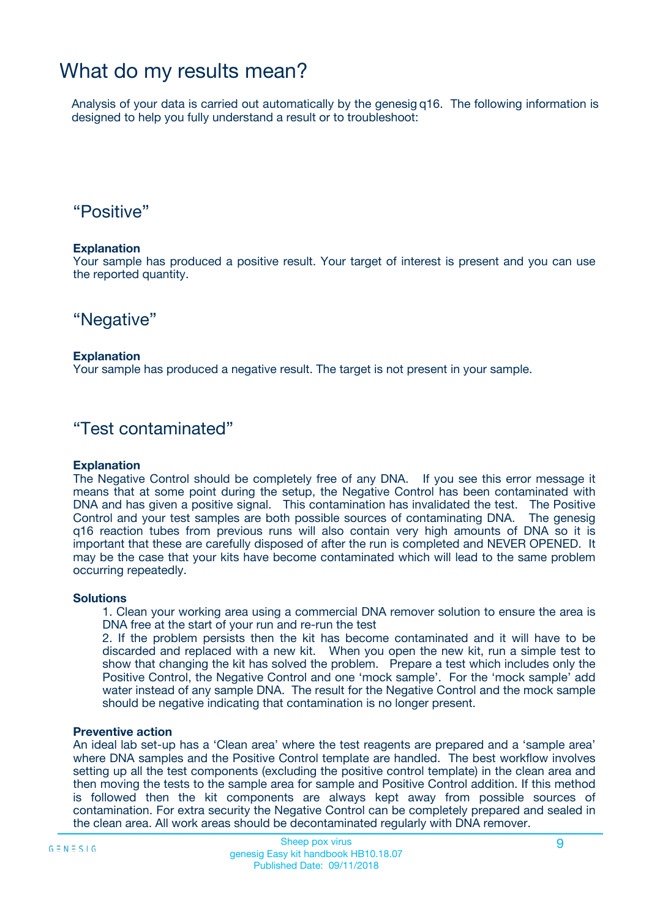## What do my results mean?

Analysis of your data is carried out automatically by the genesig q16. The following information is designed to help you fully understand a result or to troubleshoot:

### "Positive"

#### **Explanation**

Your sample has produced a positive result. Your target of interest is present and you can use the reported quantity.

"Negative"

#### **Explanation**

Your sample has produced a negative result. The target is not present in your sample.

### "Test contaminated"

#### **Explanation**

The Negative Control should be completely free of any DNA. If you see this error message it means that at some point during the setup, the Negative Control has been contaminated with DNA and has given a positive signal. This contamination has invalidated the test. The Positive Control and your test samples are both possible sources of contaminating DNA. The genesig q16 reaction tubes from previous runs will also contain very high amounts of DNA so it is important that these are carefully disposed of after the run is completed and NEVER OPENED. It may be the case that your kits have become contaminated which will lead to the same problem occurring repeatedly.

#### **Solutions**

1. Clean your working area using a commercial DNA remover solution to ensure the area is DNA free at the start of your run and re-run the test

2. If the problem persists then the kit has become contaminated and it will have to be discarded and replaced with a new kit. When you open the new kit, run a simple test to show that changing the kit has solved the problem. Prepare a test which includes only the Positive Control, the Negative Control and one 'mock sample'. For the 'mock sample' add water instead of any sample DNA. The result for the Negative Control and the mock sample should be negative indicating that contamination is no longer present.

#### **Preventive action**

An ideal lab set-up has a 'Clean area' where the test reagents are prepared and a 'sample area' where DNA samples and the Positive Control template are handled. The best workflow involves setting up all the test components (excluding the positive control template) in the clean area and then moving the tests to the sample area for sample and Positive Control addition. If this method is followed then the kit components are always kept away from possible sources of contamination. For extra security the Negative Control can be completely prepared and sealed in the clean area. All work areas should be decontaminated regularly with DNA remover.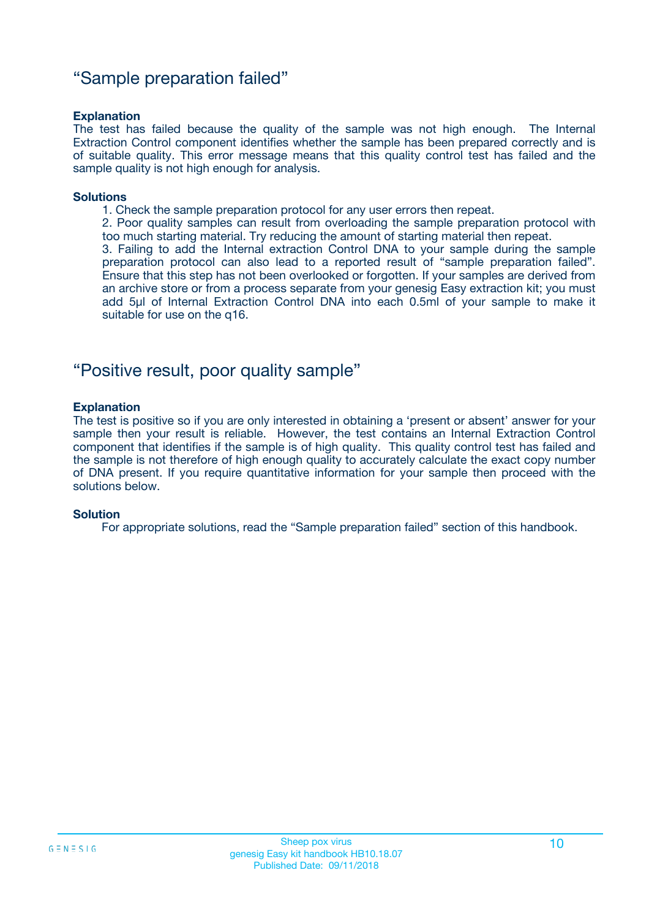### "Sample preparation failed"

#### **Explanation**

The test has failed because the quality of the sample was not high enough. The Internal Extraction Control component identifies whether the sample has been prepared correctly and is of suitable quality. This error message means that this quality control test has failed and the sample quality is not high enough for analysis.

#### **Solutions**

1. Check the sample preparation protocol for any user errors then repeat.

2. Poor quality samples can result from overloading the sample preparation protocol with too much starting material. Try reducing the amount of starting material then repeat.

3. Failing to add the Internal extraction Control DNA to your sample during the sample preparation protocol can also lead to a reported result of "sample preparation failed". Ensure that this step has not been overlooked or forgotten. If your samples are derived from an archive store or from a process separate from your genesig Easy extraction kit; you must add 5µl of Internal Extraction Control DNA into each 0.5ml of your sample to make it suitable for use on the q16.

### "Positive result, poor quality sample"

#### **Explanation**

The test is positive so if you are only interested in obtaining a 'present or absent' answer for your sample then your result is reliable. However, the test contains an Internal Extraction Control component that identifies if the sample is of high quality. This quality control test has failed and the sample is not therefore of high enough quality to accurately calculate the exact copy number of DNA present. If you require quantitative information for your sample then proceed with the solutions below.

#### **Solution**

For appropriate solutions, read the "Sample preparation failed" section of this handbook.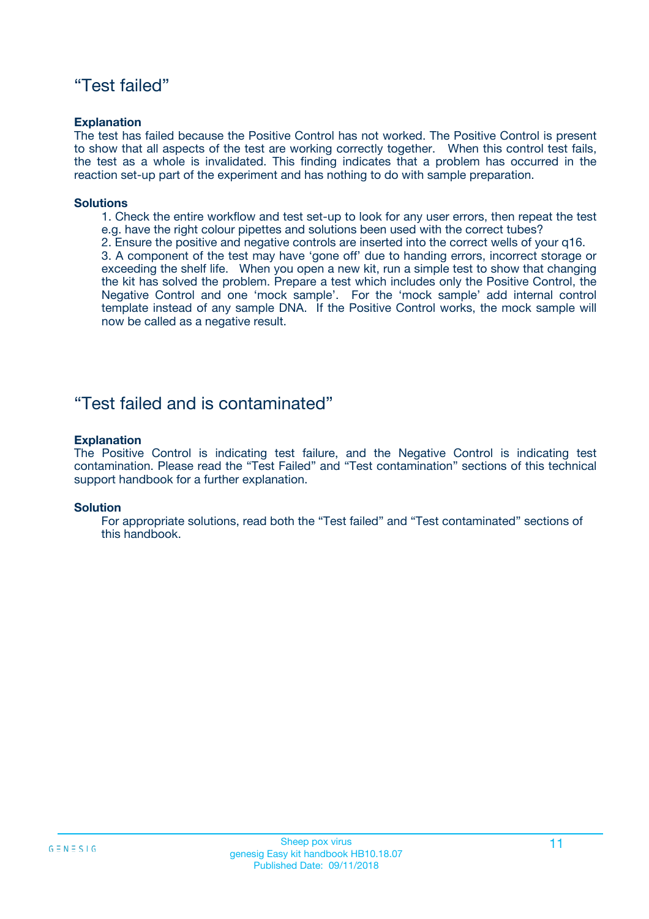### "Test failed"

#### **Explanation**

The test has failed because the Positive Control has not worked. The Positive Control is present to show that all aspects of the test are working correctly together. When this control test fails, the test as a whole is invalidated. This finding indicates that a problem has occurred in the reaction set-up part of the experiment and has nothing to do with sample preparation.

#### **Solutions**

- 1. Check the entire workflow and test set-up to look for any user errors, then repeat the test e.g. have the right colour pipettes and solutions been used with the correct tubes?
- 2. Ensure the positive and negative controls are inserted into the correct wells of your q16.

3. A component of the test may have 'gone off' due to handing errors, incorrect storage or exceeding the shelf life. When you open a new kit, run a simple test to show that changing the kit has solved the problem. Prepare a test which includes only the Positive Control, the Negative Control and one 'mock sample'. For the 'mock sample' add internal control template instead of any sample DNA. If the Positive Control works, the mock sample will now be called as a negative result.

### "Test failed and is contaminated"

#### **Explanation**

The Positive Control is indicating test failure, and the Negative Control is indicating test contamination. Please read the "Test Failed" and "Test contamination" sections of this technical support handbook for a further explanation.

#### **Solution**

For appropriate solutions, read both the "Test failed" and "Test contaminated" sections of this handbook.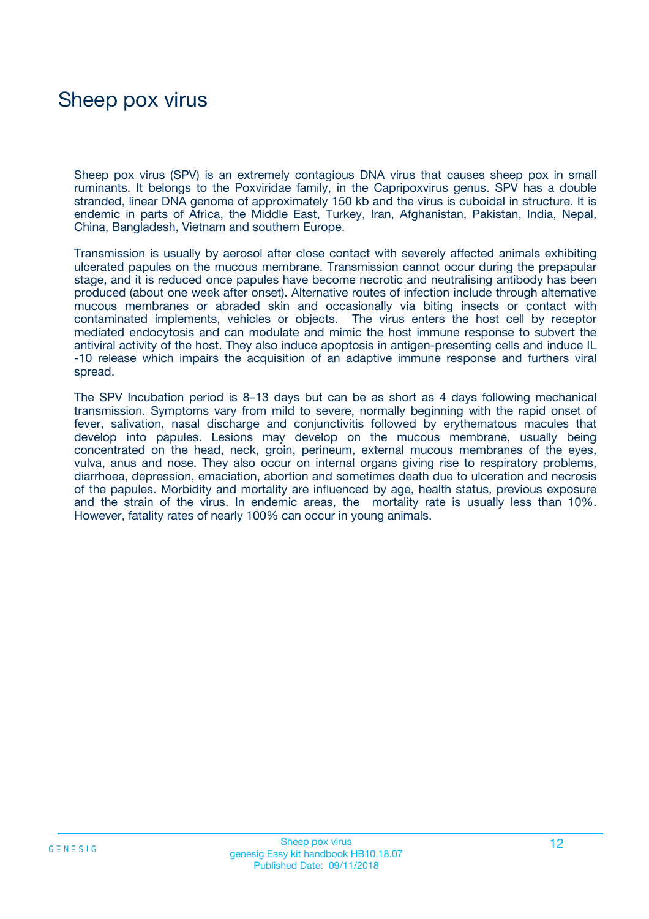## Sheep pox virus

Sheep pox virus (SPV) is an extremely contagious DNA virus that causes sheep pox in small ruminants. It belongs to the Poxviridae family, in the Capripoxvirus genus. SPV has a double stranded, linear DNA genome of approximately 150 kb and the virus is cuboidal in structure. It is endemic in parts of Africa, the Middle East, Turkey, Iran, Afghanistan, Pakistan, India, Nepal, China, Bangladesh, Vietnam and southern Europe.

Transmission is usually by aerosol after close contact with severely affected animals exhibiting ulcerated papules on the mucous membrane. Transmission cannot occur during the prepapular stage, and it is reduced once papules have become necrotic and neutralising antibody has been produced (about one week after onset). Alternative routes of infection include through alternative mucous membranes or abraded skin and occasionally via biting insects or contact with contaminated implements, vehicles or objects. The virus enters the host cell by receptor mediated endocytosis and can modulate and mimic the host immune response to subvert the antiviral activity of the host. They also induce apoptosis in antigen-presenting cells and induce IL -10 release which impairs the acquisition of an adaptive immune response and furthers viral spread.

The SPV Incubation period is 8–13 days but can be as short as 4 days following mechanical transmission. Symptoms vary from mild to severe, normally beginning with the rapid onset of fever, salivation, nasal discharge and conjunctivitis followed by erythematous macules that develop into papules. Lesions may develop on the mucous membrane, usually being concentrated on the head, neck, groin, perineum, external mucous membranes of the eyes, vulva, anus and nose. They also occur on internal organs giving rise to respiratory problems, diarrhoea, depression, emaciation, abortion and sometimes death due to ulceration and necrosis of the papules. Morbidity and mortality are influenced by age, health status, previous exposure and the strain of the virus. In endemic areas, the mortality rate is usually less than 10%. However, fatality rates of nearly 100% can occur in young animals.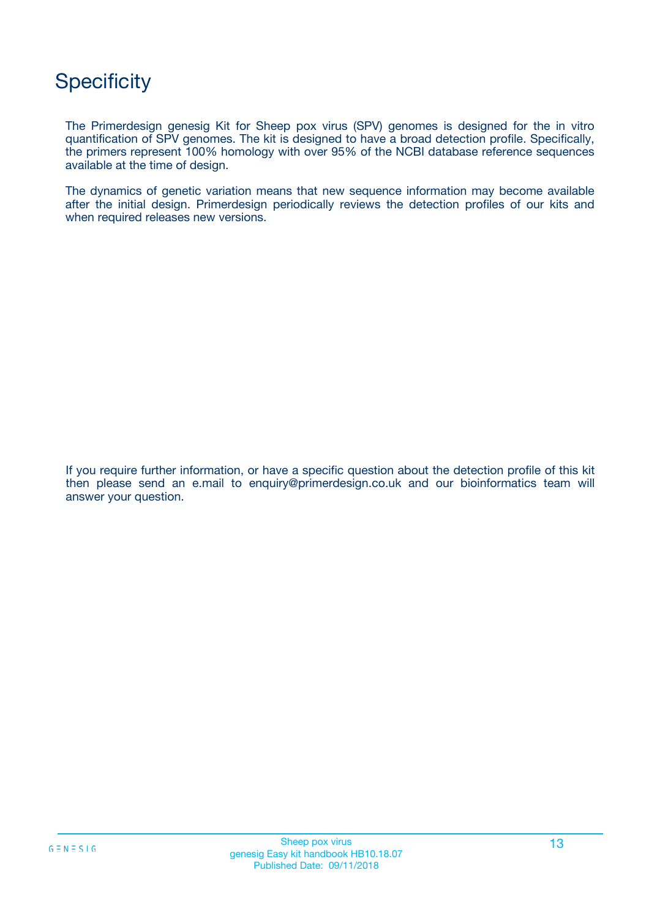## **Specificity**

The Primerdesign genesig Kit for Sheep pox virus (SPV) genomes is designed for the in vitro quantification of SPV genomes. The kit is designed to have a broad detection profile. Specifically, the primers represent 100% homology with over 95% of the NCBI database reference sequences available at the time of design.

The dynamics of genetic variation means that new sequence information may become available after the initial design. Primerdesign periodically reviews the detection profiles of our kits and when required releases new versions.

If you require further information, or have a specific question about the detection profile of this kit then please send an e.mail to enquiry@primerdesign.co.uk and our bioinformatics team will answer your question.